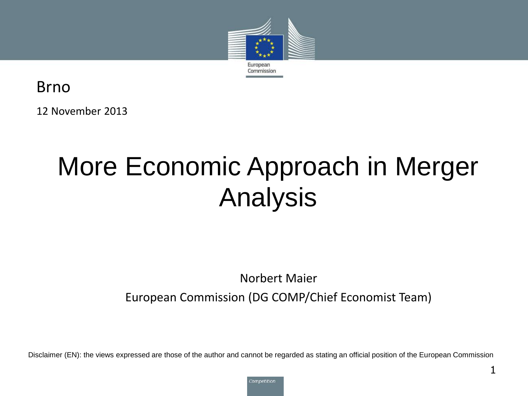

Brno

12 November 2013

# More Economic Approach in Merger Analysis

#### Norbert Maier

European Commission (DG COMP/Chief Economist Team)

Disclaimer (EN): the views expressed are those of the author and cannot be regarded as stating an official position of the European Commission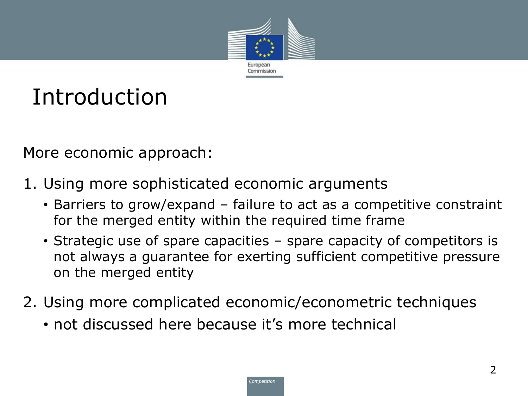

# Introduction

More economic approach:

- 1. Using more sophisticated economic arguments
	- Barriers to grow/expand failure to act as a competitive constraint for the merged entity within the required time frame
	- Strategic use of spare capacities spare capacity of competitors is not always a guarantee for exerting sufficient competitive pressure on the merged entity
- 2. Using more complicated economic/econometric techniques
	- not discussed here because it's more technical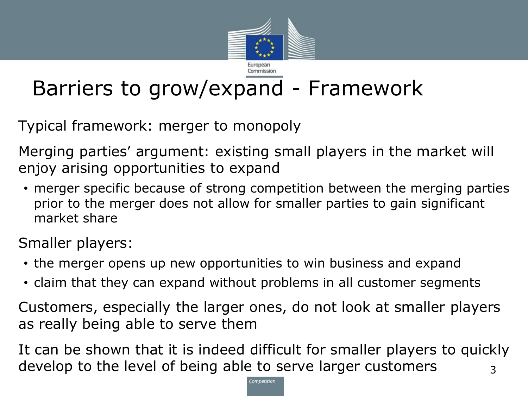

## Barriers to grow/expand - Framework

Typical framework: merger to monopoly

Merging parties' argument: existing small players in the market will enjoy arising opportunities to expand

• merger specific because of strong competition between the merging parties prior to the merger does not allow for smaller parties to gain significant market share

Smaller players:

- the merger opens up new opportunities to win business and expand
- claim that they can expand without problems in all customer segments

Customers, especially the larger ones, do not look at smaller players as really being able to serve them

It can be shown that it is indeed difficult for smaller players to quickly develop to the level of being able to serve larger customers  $\frac{3}{3}$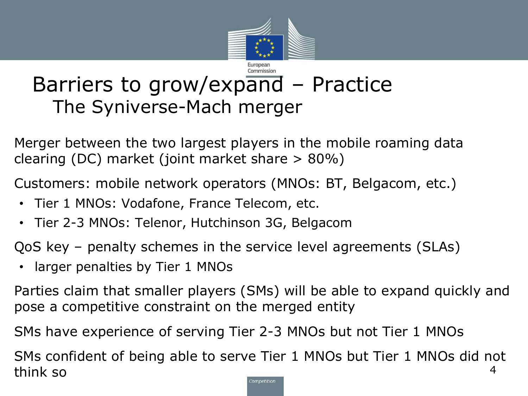

#### Barriers to grow/expand – Practice The Syniverse-Mach merger

Merger between the two largest players in the mobile roaming data clearing (DC) market (joint market share > 80%)

Customers: mobile network operators (MNOs: BT, Belgacom, etc.)

- Tier 1 MNOs: Vodafone, France Telecom, etc.
- Tier 2-3 MNOs: Telenor, Hutchinson 3G, Belgacom

QoS key – penalty schemes in the service level agreements (SLAs)

• larger penalties by Tier 1 MNOs

Parties claim that smaller players (SMs) will be able to expand quickly and pose a competitive constraint on the merged entity

SMs have experience of serving Tier 2-3 MNOs but not Tier 1 MNOs

SMs confident of being able to serve Tier 1 MNOs but Tier 1 MNOs did not think so 4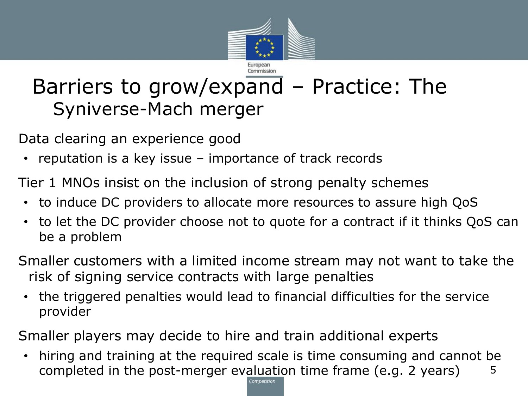

#### Barriers to grow/expand – Practice: The Syniverse-Mach merger

Data clearing an experience good

• reputation is a key issue – importance of track records

Tier 1 MNOs insist on the inclusion of strong penalty schemes

- to induce DC providers to allocate more resources to assure high QoS
- to let the DC provider choose not to quote for a contract if it thinks QoS can be a problem
- Smaller customers with a limited income stream may not want to take the risk of signing service contracts with large penalties
- the triggered penalties would lead to financial difficulties for the service provider

Smaller players may decide to hire and train additional experts

• hiring and training at the required scale is time consuming and cannot be completed in the post-merger evaluation time frame (e.g. 2 years)  $\frac{5}{10}$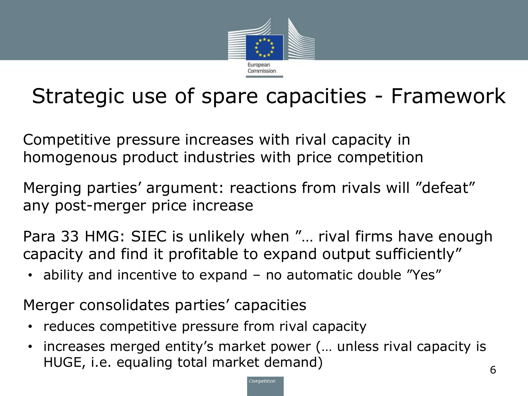

### Strategic use of spare capacities - Framework

Competitive pressure increases with rival capacity in homogenous product industries with price competition

Merging parties' argument: reactions from rivals will "defeat" any post-merger price increase

Para 33 HMG: SIEC is unlikely when "… rival firms have enough capacity and find it profitable to expand output sufficiently"

• ability and incentive to expand – no automatic double "Yes"

Merger consolidates parties' capacities

- reduces competitive pressure from rival capacity
- increases merged entity's market power (… unless rival capacity is HUGE, i.e. equaling total market demand) 6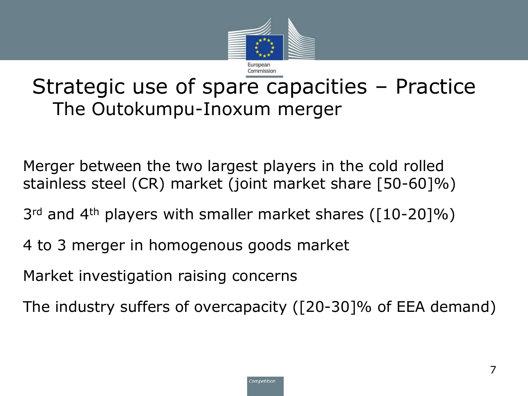

#### Strategic use of spare capacities – Practice The Outokumpu-Inoxum merger

Merger between the two largest players in the cold rolled stainless steel (CR) market (joint market share [50-60]%)

- 3<sup>rd</sup> and 4<sup>th</sup> players with smaller market shares ([10-20]%)
- 4 to 3 merger in homogenous goods market

Market investigation raising concerns

The industry suffers of overcapacity ([20-30]% of EEA demand)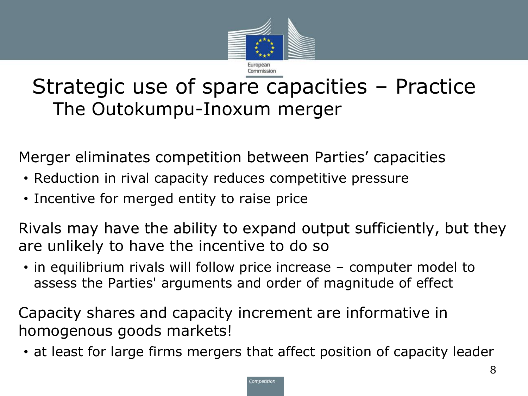

#### Strategic use of spare capacities – Practice The Outokumpu-Inoxum merger

Merger eliminates competition between Parties' capacities

- Reduction in rival capacity reduces competitive pressure
- Incentive for merged entity to raise price

Rivals may have the ability to expand output sufficiently, but they are unlikely to have the incentive to do so

• in equilibrium rivals will follow price increase – computer model to assess the Parties' arguments and order of magnitude of effect

Capacity shares and capacity increment are informative in homogenous goods markets!

• at least for large firms mergers that affect position of capacity leader